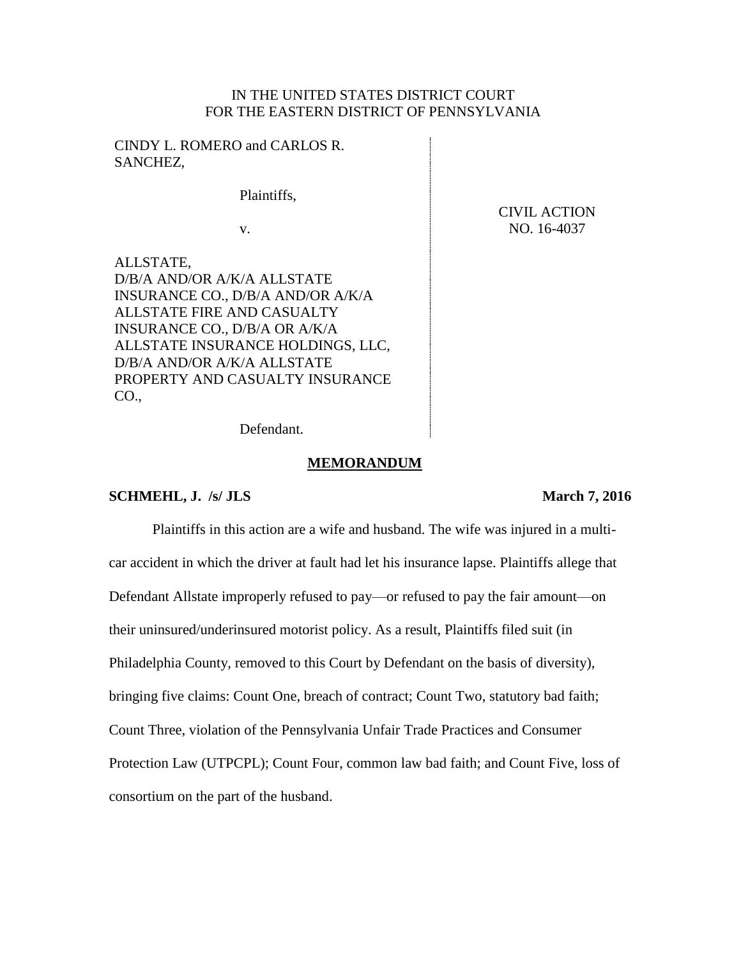# IN THE UNITED STATES DISTRICT COURT FOR THE EASTERN DISTRICT OF PENNSYLVANIA

CINDY L. ROMERO and CARLOS R. SANCHEZ,

Plaintiffs,

v.

ALLSTATE, D/B/A AND/OR A/K/A ALLSTATE INSURANCE CO., D/B/A AND/OR A/K/A ALLSTATE FIRE AND CASUALTY INSURANCE CO., D/B/A OR A/K/A ALLSTATE INSURANCE HOLDINGS, LLC, D/B/A AND/OR A/K/A ALLSTATE PROPERTY AND CASUALTY INSURANCE CO.,

CIVIL ACTION NO. 16-4037

Defendant.

#### **MEMORANDUM**

#### **SCHMEHL, J.** /s/ JLS **March** 7, 2016

Plaintiffs in this action are a wife and husband. The wife was injured in a multicar accident in which the driver at fault had let his insurance lapse. Plaintiffs allege that Defendant Allstate improperly refused to pay—or refused to pay the fair amount—on their uninsured/underinsured motorist policy. As a result, Plaintiffs filed suit (in Philadelphia County, removed to this Court by Defendant on the basis of diversity), bringing five claims: Count One, breach of contract; Count Two, statutory bad faith; Count Three, violation of the Pennsylvania Unfair Trade Practices and Consumer Protection Law (UTPCPL); Count Four, common law bad faith; and Count Five, loss of consortium on the part of the husband.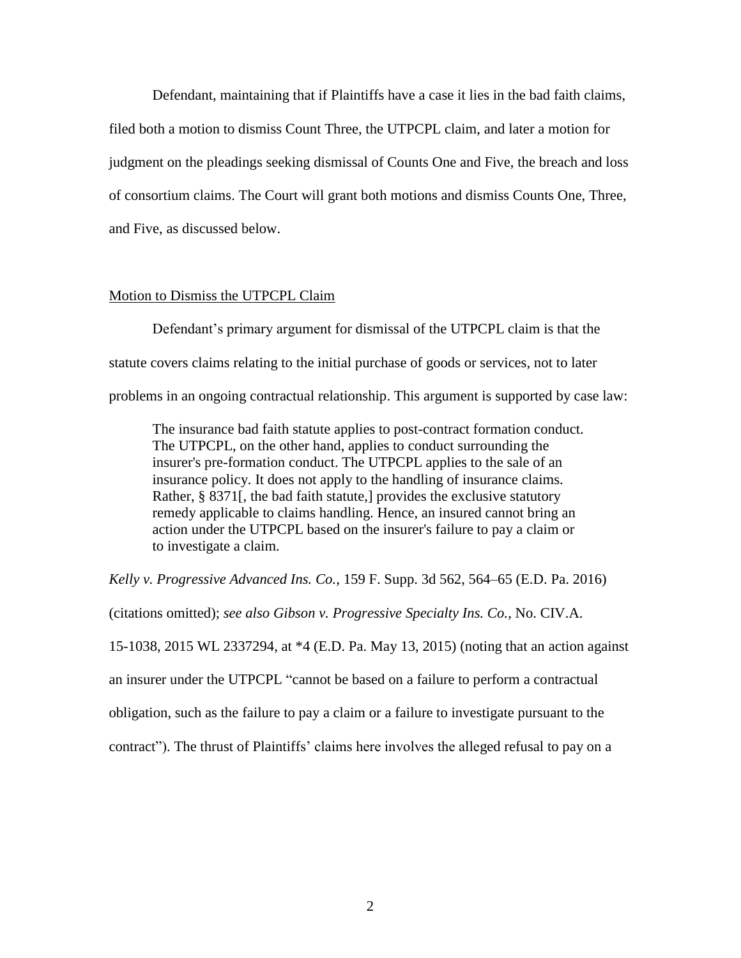Defendant, maintaining that if Plaintiffs have a case it lies in the bad faith claims, filed both a motion to dismiss Count Three, the UTPCPL claim, and later a motion for judgment on the pleadings seeking dismissal of Counts One and Five, the breach and loss of consortium claims. The Court will grant both motions and dismiss Counts One, Three, and Five, as discussed below.

### Motion to Dismiss the UTPCPL Claim

Defendant's primary argument for dismissal of the UTPCPL claim is that the statute covers claims relating to the initial purchase of goods or services, not to later problems in an ongoing contractual relationship. This argument is supported by case law:

The insurance bad faith statute applies to post-contract formation conduct. The UTPCPL, on the other hand, applies to conduct surrounding the insurer's pre-formation conduct. The UTPCPL applies to the sale of an insurance policy. It does not apply to the handling of insurance claims. Rather, § 8371[, the bad faith statute,] provides the exclusive statutory remedy applicable to claims handling. Hence, an insured cannot bring an action under the UTPCPL based on the insurer's failure to pay a claim or to investigate a claim.

*Kelly v. Progressive Advanced Ins. Co.*, 159 F. Supp. 3d 562, 564–65 (E.D. Pa. 2016)

(citations omitted); *see also Gibson v. Progressive Specialty Ins. Co.*, No. CIV.A.

15-1038, 2015 WL 2337294, at \*4 (E.D. Pa. May 13, 2015) (noting that an action against

an insurer under the UTPCPL "cannot be based on a failure to perform a contractual

obligation, such as the failure to pay a claim or a failure to investigate pursuant to the

contract"). The thrust of Plaintiffs' claims here involves the alleged refusal to pay on a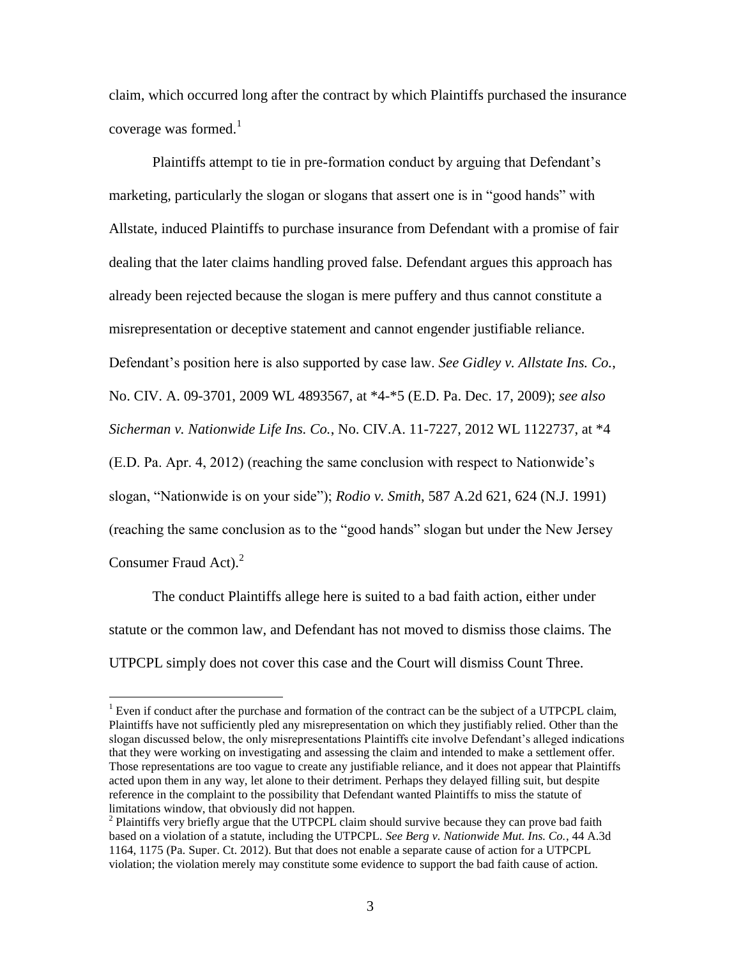claim, which occurred long after the contract by which Plaintiffs purchased the insurance coverage was formed. $<sup>1</sup>$ </sup>

Plaintiffs attempt to tie in pre-formation conduct by arguing that Defendant's marketing, particularly the slogan or slogans that assert one is in "good hands" with Allstate, induced Plaintiffs to purchase insurance from Defendant with a promise of fair dealing that the later claims handling proved false. Defendant argues this approach has already been rejected because the slogan is mere puffery and thus cannot constitute a misrepresentation or deceptive statement and cannot engender justifiable reliance. Defendant's position here is also supported by case law. *See Gidley v. Allstate Ins. Co.*, No. CIV. A. 09-3701, 2009 WL 4893567, at \*4-\*5 (E.D. Pa. Dec. 17, 2009); *see also Sicherman v. Nationwide Life Ins. Co.*, No. CIV.A. 11-7227, 2012 WL 1122737, at \*4 (E.D. Pa. Apr. 4, 2012) (reaching the same conclusion with respect to Nationwide's slogan, "Nationwide is on your side"); *Rodio v. Smith*, 587 A.2d 621, 624 (N.J. 1991) (reaching the same conclusion as to the "good hands" slogan but under the New Jersey Consumer Fraud Act). $2^2$ 

The conduct Plaintiffs allege here is suited to a bad faith action, either under statute or the common law, and Defendant has not moved to dismiss those claims. The UTPCPL simply does not cover this case and the Court will dismiss Count Three.

 $\overline{a}$ 

<sup>&</sup>lt;sup>1</sup> Even if conduct after the purchase and formation of the contract can be the subject of a UTPCPL claim, Plaintiffs have not sufficiently pled any misrepresentation on which they justifiably relied. Other than the slogan discussed below, the only misrepresentations Plaintiffs cite involve Defendant's alleged indications that they were working on investigating and assessing the claim and intended to make a settlement offer. Those representations are too vague to create any justifiable reliance, and it does not appear that Plaintiffs acted upon them in any way, let alone to their detriment. Perhaps they delayed filling suit, but despite reference in the complaint to the possibility that Defendant wanted Plaintiffs to miss the statute of limitations window, that obviously did not happen.

 $2$  Plaintiffs very briefly argue that the UTPCPL claim should survive because they can prove bad faith based on a violation of a statute, including the UTPCPL. *See Berg v. Nationwide Mut. Ins. Co.*, 44 A.3d 1164, 1175 (Pa. Super. Ct. 2012). But that does not enable a separate cause of action for a UTPCPL violation; the violation merely may constitute some evidence to support the bad faith cause of action.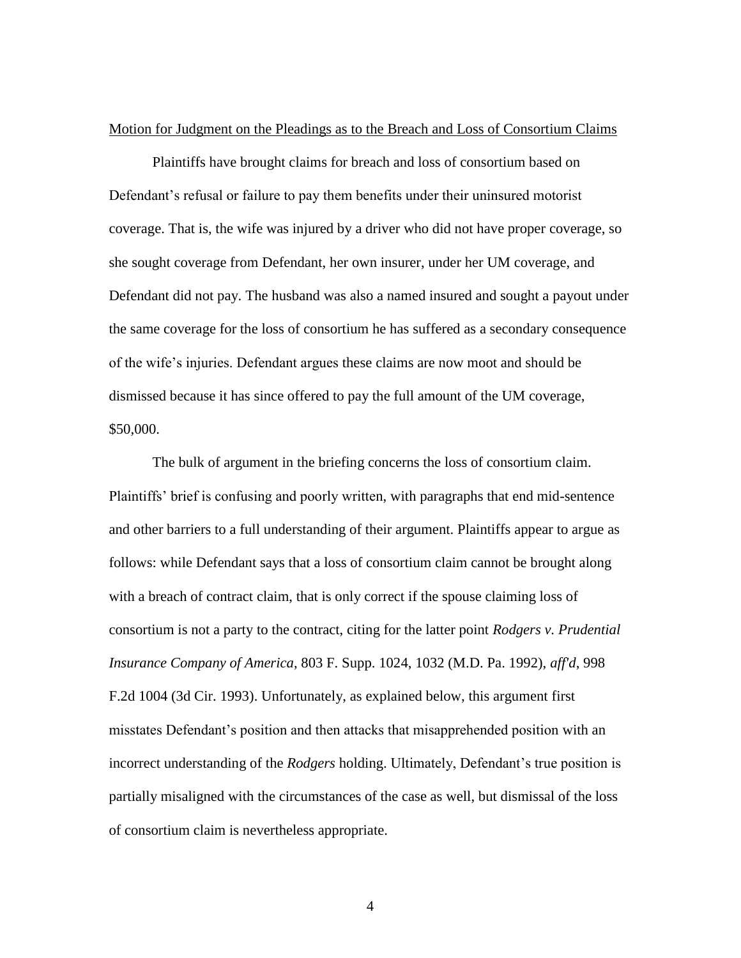#### Motion for Judgment on the Pleadings as to the Breach and Loss of Consortium Claims

Plaintiffs have brought claims for breach and loss of consortium based on Defendant's refusal or failure to pay them benefits under their uninsured motorist coverage. That is, the wife was injured by a driver who did not have proper coverage, so she sought coverage from Defendant, her own insurer, under her UM coverage, and Defendant did not pay. The husband was also a named insured and sought a payout under the same coverage for the loss of consortium he has suffered as a secondary consequence of the wife's injuries. Defendant argues these claims are now moot and should be dismissed because it has since offered to pay the full amount of the UM coverage, \$50,000.

The bulk of argument in the briefing concerns the loss of consortium claim. Plaintiffs' brief is confusing and poorly written, with paragraphs that end mid-sentence and other barriers to a full understanding of their argument. Plaintiffs appear to argue as follows: while Defendant says that a loss of consortium claim cannot be brought along with a breach of contract claim, that is only correct if the spouse claiming loss of consortium is not a party to the contract, citing for the latter point *Rodgers v. Prudential Insurance Company of America*, 803 F. Supp. 1024, 1032 (M.D. Pa. 1992), *aff'd*, 998 F.2d 1004 (3d Cir. 1993). Unfortunately, as explained below, this argument first misstates Defendant's position and then attacks that misapprehended position with an incorrect understanding of the *Rodgers* holding. Ultimately, Defendant's true position is partially misaligned with the circumstances of the case as well, but dismissal of the loss of consortium claim is nevertheless appropriate.

4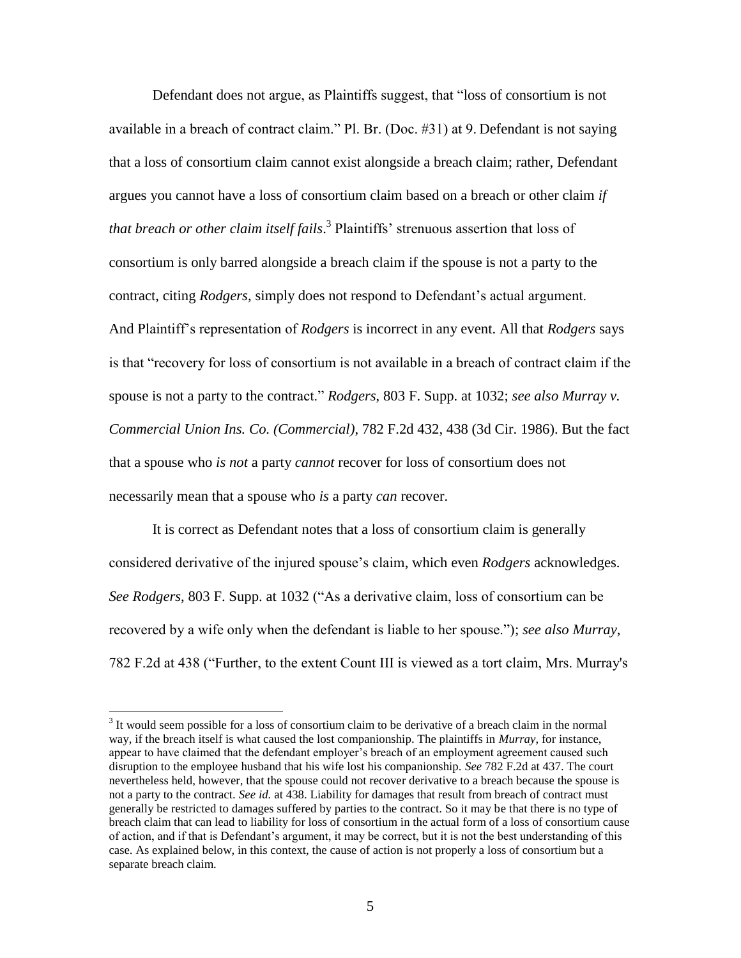Defendant does not argue, as Plaintiffs suggest, that "loss of consortium is not available in a breach of contract claim." Pl. Br. (Doc. #31) at 9. Defendant is not saying that a loss of consortium claim cannot exist alongside a breach claim; rather, Defendant argues you cannot have a loss of consortium claim based on a breach or other claim *if that breach or other claim itself fails*. 3 Plaintiffs' strenuous assertion that loss of consortium is only barred alongside a breach claim if the spouse is not a party to the contract, citing *Rodgers*, simply does not respond to Defendant's actual argument. And Plaintiff's representation of *Rodgers* is incorrect in any event. All that *Rodgers* says is that "recovery for loss of consortium is not available in a breach of contract claim if the spouse is not a party to the contract." *Rodgers*, 803 F. Supp. at 1032; *see also Murray v. Commercial Union Ins. Co. (Commercial)*, 782 F.2d 432, 438 (3d Cir. 1986). But the fact that a spouse who *is not* a party *cannot* recover for loss of consortium does not necessarily mean that a spouse who *is* a party *can* recover.

It is correct as Defendant notes that a loss of consortium claim is generally considered derivative of the injured spouse's claim, which even *Rodgers* acknowledges. *See Rodgers*, 803 F. Supp. at 1032 ("As a derivative claim, loss of consortium can be recovered by a wife only when the defendant is liable to her spouse."); *see also Murray*, 782 F.2d at 438 ("Further, to the extent Count III is viewed as a tort claim, Mrs. Murray's

 $\overline{a}$ 

 $3$  It would seem possible for a loss of consortium claim to be derivative of a breach claim in the normal way, if the breach itself is what caused the lost companionship. The plaintiffs in *Murray*, for instance, appear to have claimed that the defendant employer's breach of an employment agreement caused such disruption to the employee husband that his wife lost his companionship. *See* 782 F.2d at 437. The court nevertheless held, however, that the spouse could not recover derivative to a breach because the spouse is not a party to the contract. *See id.* at 438. Liability for damages that result from breach of contract must generally be restricted to damages suffered by parties to the contract. So it may be that there is no type of breach claim that can lead to liability for loss of consortium in the actual form of a loss of consortium cause of action, and if that is Defendant's argument, it may be correct, but it is not the best understanding of this case. As explained below, in this context, the cause of action is not properly a loss of consortium but a separate breach claim.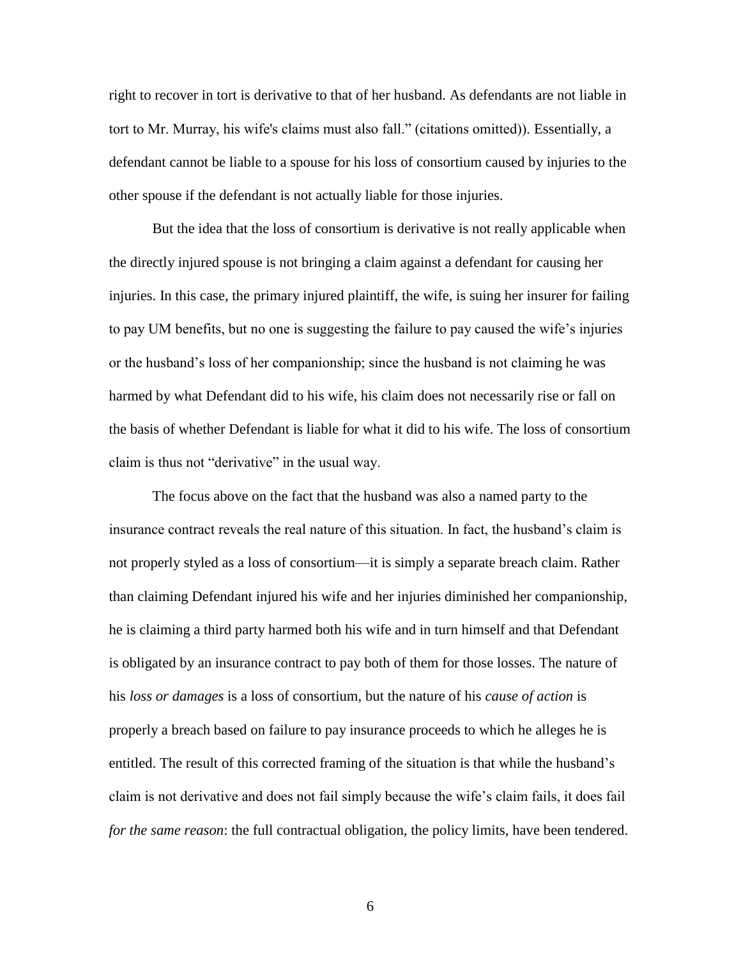right to recover in tort is derivative to that of her husband. As defendants are not liable in tort to Mr. Murray, his wife's claims must also fall." (citations omitted)). Essentially, a defendant cannot be liable to a spouse for his loss of consortium caused by injuries to the other spouse if the defendant is not actually liable for those injuries.

But the idea that the loss of consortium is derivative is not really applicable when the directly injured spouse is not bringing a claim against a defendant for causing her injuries. In this case, the primary injured plaintiff, the wife, is suing her insurer for failing to pay UM benefits, but no one is suggesting the failure to pay caused the wife's injuries or the husband's loss of her companionship; since the husband is not claiming he was harmed by what Defendant did to his wife, his claim does not necessarily rise or fall on the basis of whether Defendant is liable for what it did to his wife. The loss of consortium claim is thus not "derivative" in the usual way.

The focus above on the fact that the husband was also a named party to the insurance contract reveals the real nature of this situation. In fact, the husband's claim is not properly styled as a loss of consortium—it is simply a separate breach claim. Rather than claiming Defendant injured his wife and her injuries diminished her companionship, he is claiming a third party harmed both his wife and in turn himself and that Defendant is obligated by an insurance contract to pay both of them for those losses. The nature of his *loss or damages* is a loss of consortium, but the nature of his *cause of action* is properly a breach based on failure to pay insurance proceeds to which he alleges he is entitled. The result of this corrected framing of the situation is that while the husband's claim is not derivative and does not fail simply because the wife's claim fails, it does fail *for the same reason*: the full contractual obligation, the policy limits, have been tendered.

6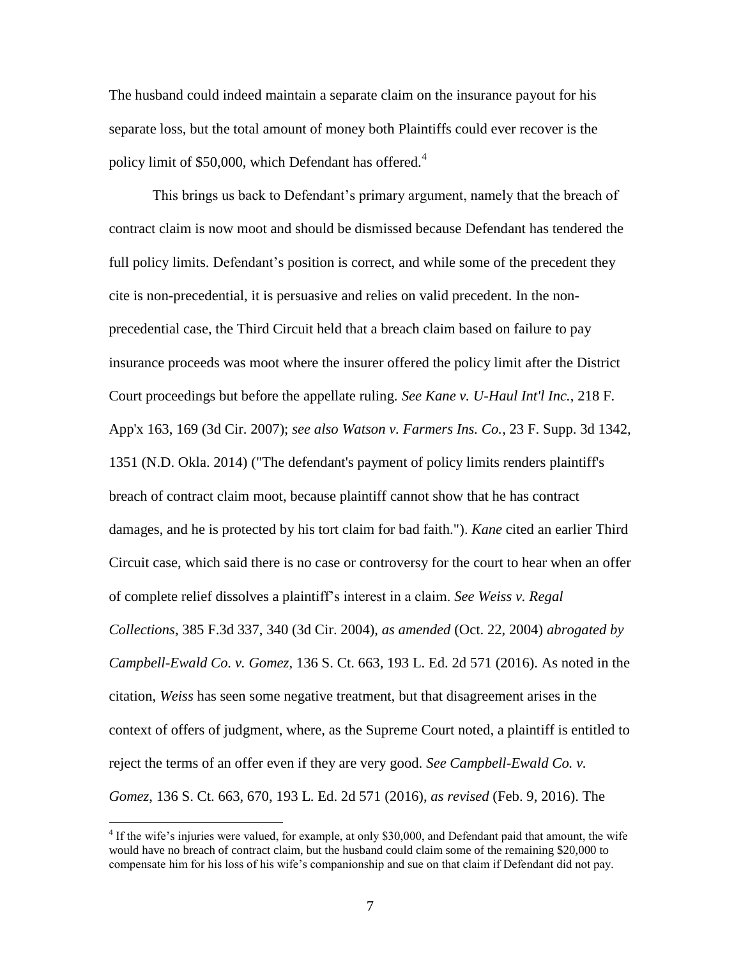The husband could indeed maintain a separate claim on the insurance payout for his separate loss, but the total amount of money both Plaintiffs could ever recover is the policy limit of \$50,000, which Defendant has offered. $4$ 

This brings us back to Defendant's primary argument, namely that the breach of contract claim is now moot and should be dismissed because Defendant has tendered the full policy limits. Defendant's position is correct, and while some of the precedent they cite is non-precedential, it is persuasive and relies on valid precedent. In the nonprecedential case, the Third Circuit held that a breach claim based on failure to pay insurance proceeds was moot where the insurer offered the policy limit after the District Court proceedings but before the appellate ruling. *See Kane v. U-Haul Int'l Inc.*, 218 F. App'x 163, 169 (3d Cir. 2007); *see also Watson v. Farmers Ins. Co.*, 23 F. Supp. 3d 1342, 1351 (N.D. Okla. 2014) ("The defendant's payment of policy limits renders plaintiff's breach of contract claim moot, because plaintiff cannot show that he has contract damages, and he is protected by his tort claim for bad faith."). *Kane* cited an earlier Third Circuit case, which said there is no case or controversy for the court to hear when an offer of complete relief dissolves a plaintiff's interest in a claim. *See Weiss v. Regal Collections*, 385 F.3d 337, 340 (3d Cir. 2004), *as amended* (Oct. 22, 2004) *abrogated by Campbell-Ewald Co. v. Gomez*, 136 S. Ct. 663, 193 L. Ed. 2d 571 (2016). As noted in the citation, *Weiss* has seen some negative treatment, but that disagreement arises in the context of offers of judgment, where, as the Supreme Court noted, a plaintiff is entitled to reject the terms of an offer even if they are very good. *See Campbell-Ewald Co. v. Gomez*, 136 S. Ct. 663, 670, 193 L. Ed. 2d 571 (2016), *as revised* (Feb. 9, 2016). The

 $\overline{a}$ 

<sup>&</sup>lt;sup>4</sup> If the wife's injuries were valued, for example, at only \$30,000, and Defendant paid that amount, the wife would have no breach of contract claim, but the husband could claim some of the remaining \$20,000 to compensate him for his loss of his wife's companionship and sue on that claim if Defendant did not pay.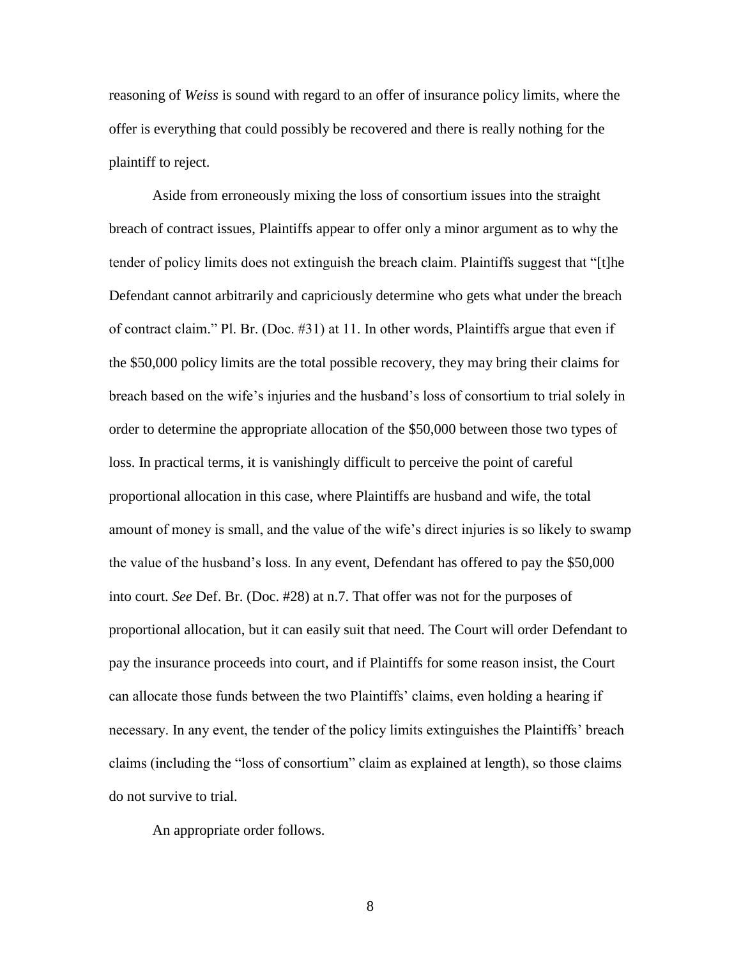reasoning of *Weiss* is sound with regard to an offer of insurance policy limits, where the offer is everything that could possibly be recovered and there is really nothing for the plaintiff to reject.

Aside from erroneously mixing the loss of consortium issues into the straight breach of contract issues, Plaintiffs appear to offer only a minor argument as to why the tender of policy limits does not extinguish the breach claim. Plaintiffs suggest that "[t]he Defendant cannot arbitrarily and capriciously determine who gets what under the breach of contract claim." Pl. Br. (Doc. #31) at 11. In other words, Plaintiffs argue that even if the \$50,000 policy limits are the total possible recovery, they may bring their claims for breach based on the wife's injuries and the husband's loss of consortium to trial solely in order to determine the appropriate allocation of the \$50,000 between those two types of loss. In practical terms, it is vanishingly difficult to perceive the point of careful proportional allocation in this case, where Plaintiffs are husband and wife, the total amount of money is small, and the value of the wife's direct injuries is so likely to swamp the value of the husband's loss. In any event, Defendant has offered to pay the \$50,000 into court. *See* Def. Br. (Doc. #28) at n.7. That offer was not for the purposes of proportional allocation, but it can easily suit that need. The Court will order Defendant to pay the insurance proceeds into court, and if Plaintiffs for some reason insist, the Court can allocate those funds between the two Plaintiffs' claims, even holding a hearing if necessary. In any event, the tender of the policy limits extinguishes the Plaintiffs' breach claims (including the "loss of consortium" claim as explained at length), so those claims do not survive to trial.

An appropriate order follows.

8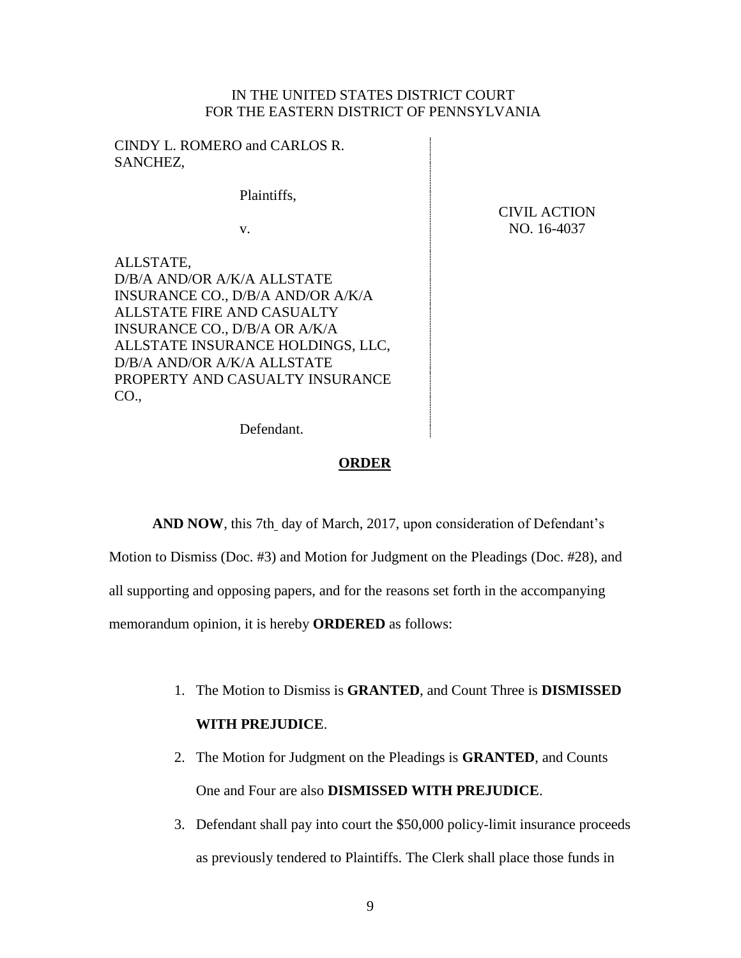# IN THE UNITED STATES DISTRICT COURT FOR THE EASTERN DISTRICT OF PENNSYLVANIA

CINDY L. ROMERO and CARLOS R. SANCHEZ,

D/B/A AND/OR A/K/A ALLSTATE

ALLSTATE FIRE AND CASUALTY INSURANCE CO., D/B/A OR A/K/A

D/B/A AND/OR A/K/A ALLSTATE

ALLSTATE,

CO.,

Plaintiffs,

v.

INSURANCE CO., D/B/A AND/OR A/K/A

ALLSTATE INSURANCE HOLDINGS, LLC,

PROPERTY AND CASUALTY INSURANCE

CIVIL ACTION NO. 16-4037

Defendant.

### **ORDER**

AND NOW, this 7th\_day of March, 2017, upon consideration of Defendant's Motion to Dismiss (Doc. #3) and Motion for Judgment on the Pleadings (Doc. #28), and all supporting and opposing papers, and for the reasons set forth in the accompanying memorandum opinion, it is hereby **ORDERED** as follows:

- 1. The Motion to Dismiss is **GRANTED**, and Count Three is **DISMISSED WITH PREJUDICE**.
- 2. The Motion for Judgment on the Pleadings is **GRANTED**, and Counts One and Four are also **DISMISSED WITH PREJUDICE**.
- 3. Defendant shall pay into court the \$50,000 policy-limit insurance proceeds as previously tendered to Plaintiffs. The Clerk shall place those funds in